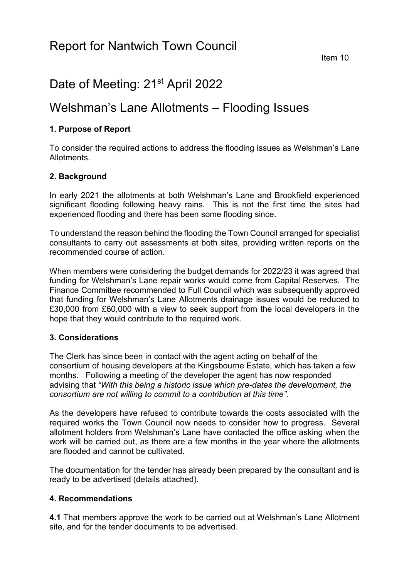# Date of Meeting: 21<sup>st</sup> April 2022

# Welshman's Lane Allotments – Flooding Issues

# **1. Purpose of Report**

To consider the required actions to address the flooding issues as Welshman's Lane Allotments.

## **2. Background**

In early 2021 the allotments at both Welshman's Lane and Brookfield experienced significant flooding following heavy rains. This is not the first time the sites had experienced flooding and there has been some flooding since.

To understand the reason behind the flooding the Town Council arranged for specialist consultants to carry out assessments at both sites, providing written reports on the recommended course of action.

When members were considering the budget demands for 2022/23 it was agreed that funding for Welshman's Lane repair works would come from Capital Reserves. The Finance Committee recommended to Full Council which was subsequently approved that funding for Welshman's Lane Allotments drainage issues would be reduced to £30,000 from £60,000 with a view to seek support from the local developers in the hope that they would contribute to the required work.

## **3. Considerations**

The Clerk has since been in contact with the agent acting on behalf of the consortium of housing developers at the Kingsbourne Estate, which has taken a few months. Following a meeting of the developer the agent has now responded advising that *"With this being a historic issue which pre-dates the development, the consortium are not willing to commit to a contribution at this time".*

As the developers have refused to contribute towards the costs associated with the required works the Town Council now needs to consider how to progress. Several allotment holders from Welshman's Lane have contacted the office asking when the work will be carried out, as there are a few months in the year where the allotments are flooded and cannot be cultivated.

The documentation for the tender has already been prepared by the consultant and is ready to be advertised (details attached).

## **4. Recommendations**

**4.1** That members approve the work to be carried out at Welshman's Lane Allotment site, and for the tender documents to be advertised.